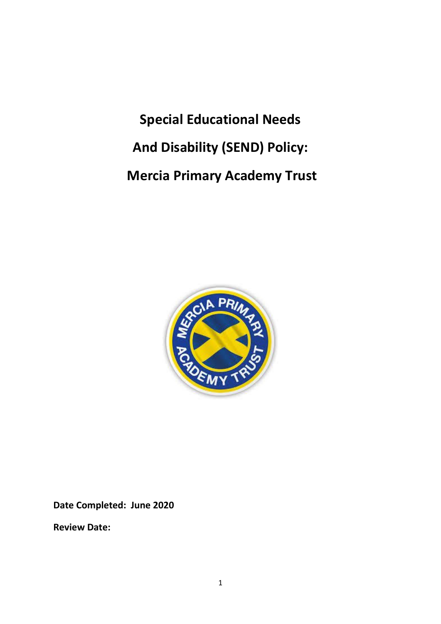**Special Educational Needs And Disability (SEND) Policy: Mercia Primary Academy Trust**



**Date Completed: June 2020**

**Review Date:**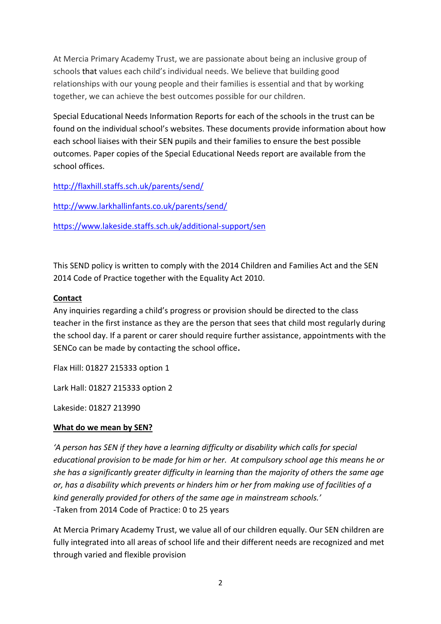At Mercia Primary Academy Trust, we are passionate about being an inclusive group of schools that values each child's individual needs. We believe that building good relationships with our young people and their families is essential and that by working together, we can achieve the best outcomes possible for our children.

Special Educational Needs Information Reports for each of the schools in the trust can be found on the individual school's websites. These documents provide information about how each school liaises with their SEN pupils and their families to ensure the best possible outcomes. Paper copies of the Special Educational Needs report are available from the school offices.

<http://flaxhill.staffs.sch.uk/parents/send/>

<http://www.larkhallinfants.co.uk/parents/send/>

<https://www.lakeside.staffs.sch.uk/additional-support/sen>

This SEND policy is written to comply with the 2014 Children and Families Act and the SEN 2014 Code of Practice together with the Equality Act 2010.

## **Contact**

Any inquiries regarding a child's progress or provision should be directed to the class teacher in the first instance as they are the person that sees that child most regularly during the school day. If a parent or carer should require further assistance, appointments with the SENCo can be made by contacting the school office**.**

Flax Hill: 01827 215333 option 1

Lark Hall: 01827 215333 option 2

Lakeside: 01827 213990

# **What do we mean by SEN?**

*'A person has SEN if they have a learning difficulty or disability which calls for special educational provision to be made for him or her. At compulsory school age this means he or she has a significantly greater difficulty in learning than the majority of others the same age or, has a disability which prevents or hinders him or her from making use of facilities of a kind generally provided for others of the same age in mainstream schools.'*  -Taken from 2014 Code of Practice: 0 to 25 years

At Mercia Primary Academy Trust, we value all of our children equally. Our SEN children are fully integrated into all areas of school life and their different needs are recognized and met through varied and flexible provision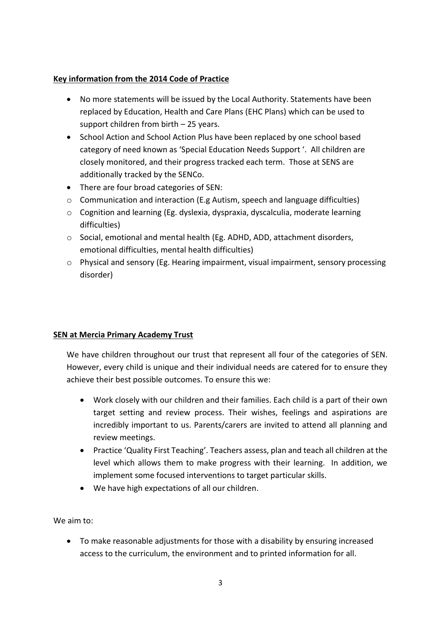### **Key information from the 2014 Code of Practice**

- No more statements will be issued by the Local Authority. Statements have been replaced by Education, Health and Care Plans (EHC Plans) which can be used to support children from birth – 25 years.
- School Action and School Action Plus have been replaced by one school based category of need known as 'Special Education Needs Support '. All children are closely monitored, and their progress tracked each term. Those at SENS are additionally tracked by the SENCo.
- There are four broad categories of SEN:
- o Communication and interaction (E.g Autism, speech and language difficulties)
- o Cognition and learning (Eg. dyslexia, dyspraxia, dyscalculia, moderate learning difficulties)
- o Social, emotional and mental health (Eg. ADHD, ADD, attachment disorders, emotional difficulties, mental health difficulties)
- o Physical and sensory (Eg. Hearing impairment, visual impairment, sensory processing disorder)

### **SEN at Mercia Primary Academy Trust**

We have children throughout our trust that represent all four of the categories of SEN. However, every child is unique and their individual needs are catered for to ensure they achieve their best possible outcomes. To ensure this we:

- Work closely with our children and their families. Each child is a part of their own target setting and review process. Their wishes, feelings and aspirations are incredibly important to us. Parents/carers are invited to attend all planning and review meetings.
- Practice 'Quality First Teaching'. Teachers assess, plan and teach all children at the level which allows them to make progress with their learning. In addition, we implement some focused interventions to target particular skills.
- We have high expectations of all our children.

We aim to:

 To make reasonable adjustments for those with a disability by ensuring increased access to the curriculum, the environment and to printed information for all.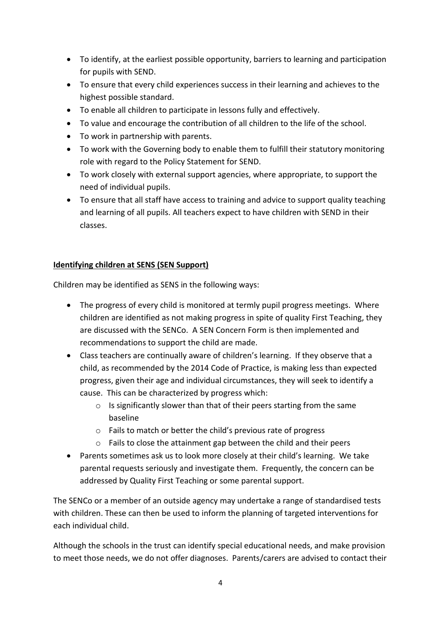- To identify, at the earliest possible opportunity, barriers to learning and participation for pupils with SEND.
- To ensure that every child experiences success in their learning and achieves to the highest possible standard.
- To enable all children to participate in lessons fully and effectively.
- To value and encourage the contribution of all children to the life of the school.
- To work in partnership with parents.
- To work with the Governing body to enable them to fulfill their statutory monitoring role with regard to the Policy Statement for SEND.
- To work closely with external support agencies, where appropriate, to support the need of individual pupils.
- To ensure that all staff have access to training and advice to support quality teaching and learning of all pupils. All teachers expect to have children with SEND in their classes.

### **Identifying children at SENS (SEN Support)**

Children may be identified as SENS in the following ways:

- The progress of every child is monitored at termly pupil progress meetings. Where children are identified as not making progress in spite of quality First Teaching, they are discussed with the SENCo. A SEN Concern Form is then implemented and recommendations to support the child are made.
- Class teachers are continually aware of children's learning. If they observe that a child, as recommended by the 2014 Code of Practice, is making less than expected progress, given their age and individual circumstances, they will seek to identify a cause. This can be characterized by progress which:
	- o Is significantly slower than that of their peers starting from the same baseline
	- o Fails to match or better the child's previous rate of progress
	- o Fails to close the attainment gap between the child and their peers
- Parents sometimes ask us to look more closely at their child's learning. We take parental requests seriously and investigate them. Frequently, the concern can be addressed by Quality First Teaching or some parental support.

The SENCo or a member of an outside agency may undertake a range of standardised tests with children. These can then be used to inform the planning of targeted interventions for each individual child.

Although the schools in the trust can identify special educational needs, and make provision to meet those needs, we do not offer diagnoses. Parents/carers are advised to contact their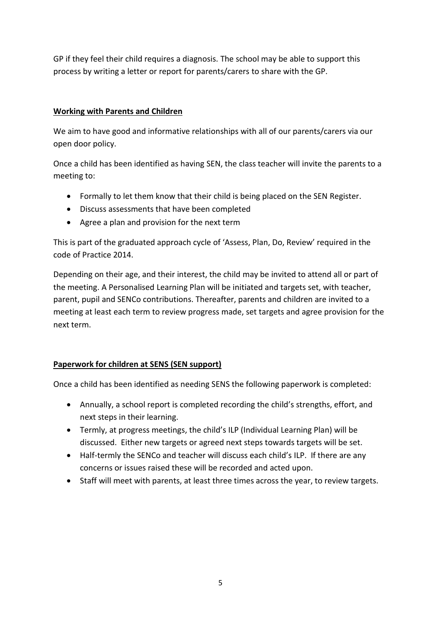GP if they feel their child requires a diagnosis. The school may be able to support this process by writing a letter or report for parents/carers to share with the GP.

## **Working with Parents and Children**

We aim to have good and informative relationships with all of our parents/carers via our open door policy.

Once a child has been identified as having SEN, the class teacher will invite the parents to a meeting to:

- Formally to let them know that their child is being placed on the SEN Register.
- Discuss assessments that have been completed
- Agree a plan and provision for the next term

This is part of the graduated approach cycle of 'Assess, Plan, Do, Review' required in the code of Practice 2014.

Depending on their age, and their interest, the child may be invited to attend all or part of the meeting. A Personalised Learning Plan will be initiated and targets set, with teacher, parent, pupil and SENCo contributions. Thereafter, parents and children are invited to a meeting at least each term to review progress made, set targets and agree provision for the next term.

### **Paperwork for children at SENS (SEN support)**

Once a child has been identified as needing SENS the following paperwork is completed:

- Annually, a school report is completed recording the child's strengths, effort, and next steps in their learning.
- Termly, at progress meetings, the child's ILP (Individual Learning Plan) will be discussed. Either new targets or agreed next steps towards targets will be set.
- Half-termly the SENCo and teacher will discuss each child's ILP. If there are any concerns or issues raised these will be recorded and acted upon.
- Staff will meet with parents, at least three times across the year, to review targets.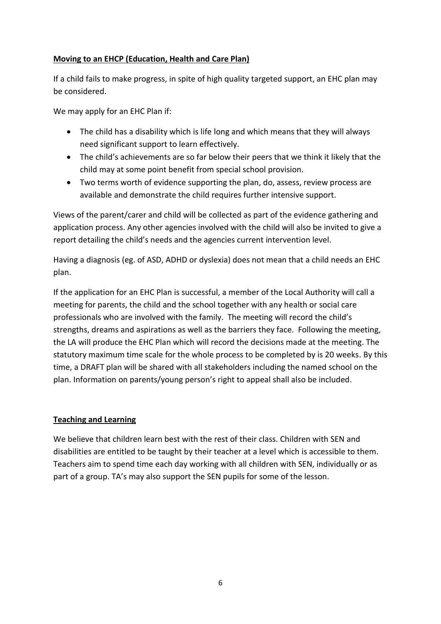## **Moving to an EHCP (Education, Health and Care Plan)**

If a child fails to make progress, in spite of high quality targeted support, an EHC plan may be considered.

We may apply for an EHC Plan if:

- The child has a disability which is life long and which means that they will always need significant support to learn effectively.
- The child's achievements are so far below their peers that we think it likely that the child may at some point benefit from special school provision.
- Two terms worth of evidence supporting the plan, do, assess, review process are available and demonstrate the child requires further intensive support.

Views of the parent/carer and child will be collected as part of the evidence gathering and application process. Any other agencies involved with the child will also be invited to give a report detailing the child's needs and the agencies current intervention level.

Having a diagnosis (eg. of ASD, ADHD or dyslexia) does not mean that a child needs an EHC plan.

If the application for an EHC Plan is successful, a member of the Local Authority will call a meeting for parents, the child and the school together with any health or social care professionals who are involved with the family. The meeting will record the child's strengths, dreams and aspirations as well as the barriers they face. Following the meeting, the LA will produce the EHC Plan which will record the decisions made at the meeting. The statutory maximum time scale for the whole process to be completed by is 20 weeks. By this time, a DRAFT plan will be shared with all stakeholders including the named school on the plan. Information on parents/young person's right to appeal shall also be included.

### **Teaching and Learning**

We believe that children learn best with the rest of their class. Children with SEN and disabilities are entitled to be taught by their teacher at a level which is accessible to them. Teachers aim to spend time each day working with all children with SEN, individually or as part of a group. TA's may also support the SEN pupils for some of the lesson.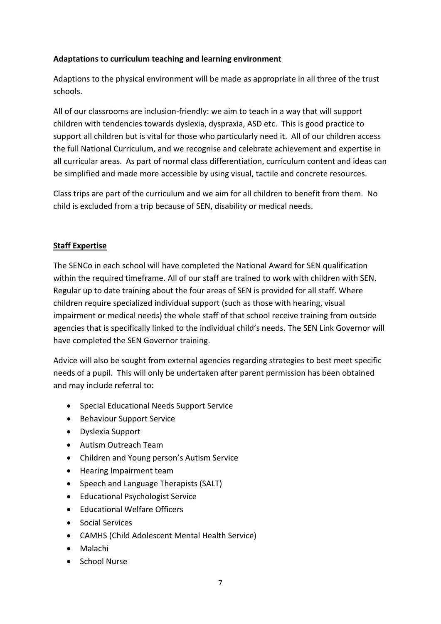## **Adaptations to curriculum teaching and learning environment**

Adaptions to the physical environment will be made as appropriate in all three of the trust schools.

All of our classrooms are inclusion-friendly: we aim to teach in a way that will support children with tendencies towards dyslexia, dyspraxia, ASD etc. This is good practice to support all children but is vital for those who particularly need it. All of our children access the full National Curriculum, and we recognise and celebrate achievement and expertise in all curricular areas. As part of normal class differentiation, curriculum content and ideas can be simplified and made more accessible by using visual, tactile and concrete resources.

Class trips are part of the curriculum and we aim for all children to benefit from them. No child is excluded from a trip because of SEN, disability or medical needs.

## **Staff Expertise**

The SENCo in each school will have completed the National Award for SEN qualification within the required timeframe. All of our staff are trained to work with children with SEN. Regular up to date training about the four areas of SEN is provided for all staff. Where children require specialized individual support (such as those with hearing, visual impairment or medical needs) the whole staff of that school receive training from outside agencies that is specifically linked to the individual child's needs. The SEN Link Governor will have completed the SEN Governor training.

Advice will also be sought from external agencies regarding strategies to best meet specific needs of a pupil. This will only be undertaken after parent permission has been obtained and may include referral to:

- Special Educational Needs Support Service
- **•** Behaviour Support Service
- Dyslexia Support
- Autism Outreach Team
- Children and Young person's Autism Service
- Hearing Impairment team
- Speech and Language Therapists (SALT)
- Educational Psychologist Service
- Educational Welfare Officers
- Social Services
- CAMHS (Child Adolescent Mental Health Service)
- Malachi
- School Nurse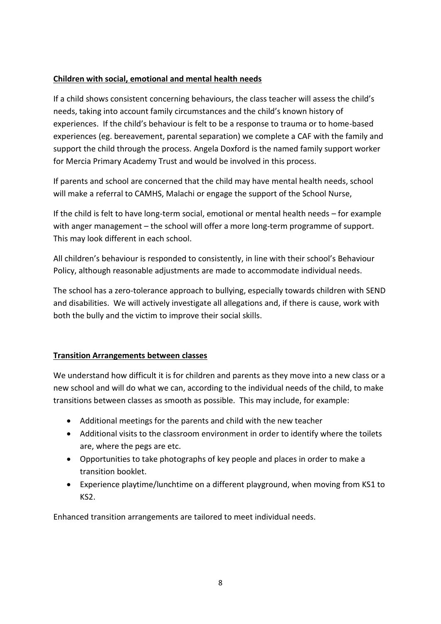### **Children with social, emotional and mental health needs**

If a child shows consistent concerning behaviours, the class teacher will assess the child's needs, taking into account family circumstances and the child's known history of experiences. If the child's behaviour is felt to be a response to trauma or to home-based experiences (eg. bereavement, parental separation) we complete a CAF with the family and support the child through the process. Angela Doxford is the named family support worker for Mercia Primary Academy Trust and would be involved in this process.

If parents and school are concerned that the child may have mental health needs, school will make a referral to CAMHS, Malachi or engage the support of the School Nurse,

If the child is felt to have long-term social, emotional or mental health needs – for example with anger management – the school will offer a more long-term programme of support. This may look different in each school.

All children's behaviour is responded to consistently, in line with their school's Behaviour Policy, although reasonable adjustments are made to accommodate individual needs.

The school has a zero-tolerance approach to bullying, especially towards children with SEND and disabilities. We will actively investigate all allegations and, if there is cause, work with both the bully and the victim to improve their social skills.

# **Transition Arrangements between classes**

We understand how difficult it is for children and parents as they move into a new class or a new school and will do what we can, according to the individual needs of the child, to make transitions between classes as smooth as possible. This may include, for example:

- Additional meetings for the parents and child with the new teacher
- Additional visits to the classroom environment in order to identify where the toilets are, where the pegs are etc.
- Opportunities to take photographs of key people and places in order to make a transition booklet.
- Experience playtime/lunchtime on a different playground, when moving from KS1 to KS2.

Enhanced transition arrangements are tailored to meet individual needs.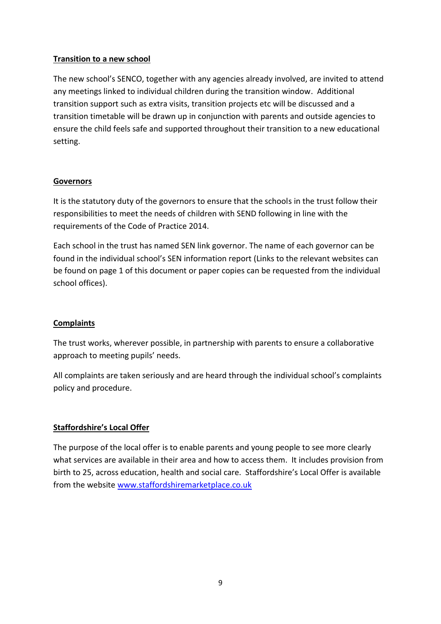### **Transition to a new school**

The new school's SENCO, together with any agencies already involved, are invited to attend any meetings linked to individual children during the transition window. Additional transition support such as extra visits, transition projects etc will be discussed and a transition timetable will be drawn up in conjunction with parents and outside agencies to ensure the child feels safe and supported throughout their transition to a new educational setting.

### **Governors**

It is the statutory duty of the governors to ensure that the schools in the trust follow their responsibilities to meet the needs of children with SEND following in line with the requirements of the Code of Practice 2014.

Each school in the trust has named SEN link governor. The name of each governor can be found in the individual school's SEN information report (Links to the relevant websites can be found on page 1 of this document or paper copies can be requested from the individual school offices).

### **Complaints**

The trust works, wherever possible, in partnership with parents to ensure a collaborative approach to meeting pupils' needs.

All complaints are taken seriously and are heard through the individual school's complaints policy and procedure.

### **Staffordshire's Local Offer**

The purpose of the local offer is to enable parents and young people to see more clearly what services are available in their area and how to access them. It includes provision from birth to 25, across education, health and social care. Staffordshire's Local Offer is available from the website [www.staffordshiremarketplace.co.uk](http://www.staffordshiremarketplace.co.uk/)